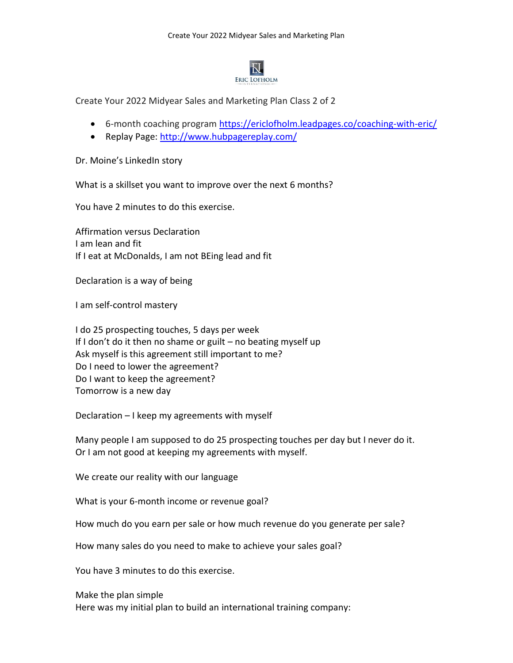

Create Your 2022 Midyear Sales and Marketing Plan Class 2 of 2

- 6-month coaching program <https://ericlofholm.leadpages.co/coaching-with-eric/>
- Replay Page:<http://www.hubpagereplay.com/>

Dr. Moine's LinkedIn story

What is a skillset you want to improve over the next 6 months?

You have 2 minutes to do this exercise.

Affirmation versus Declaration I am lean and fit If I eat at McDonalds, I am not BEing lead and fit

Declaration is a way of being

I am self-control mastery

I do 25 prospecting touches, 5 days per week If I don't do it then no shame or guilt  $-$  no beating myself up Ask myself is this agreement still important to me? Do I need to lower the agreement? Do I want to keep the agreement? Tomorrow is a new day

Declaration – I keep my agreements with myself

Many people I am supposed to do 25 prospecting touches per day but I never do it. Or I am not good at keeping my agreements with myself.

We create our reality with our language

What is your 6-month income or revenue goal?

How much do you earn per sale or how much revenue do you generate per sale?

How many sales do you need to make to achieve your sales goal?

You have 3 minutes to do this exercise.

Make the plan simple Here was my initial plan to build an international training company: